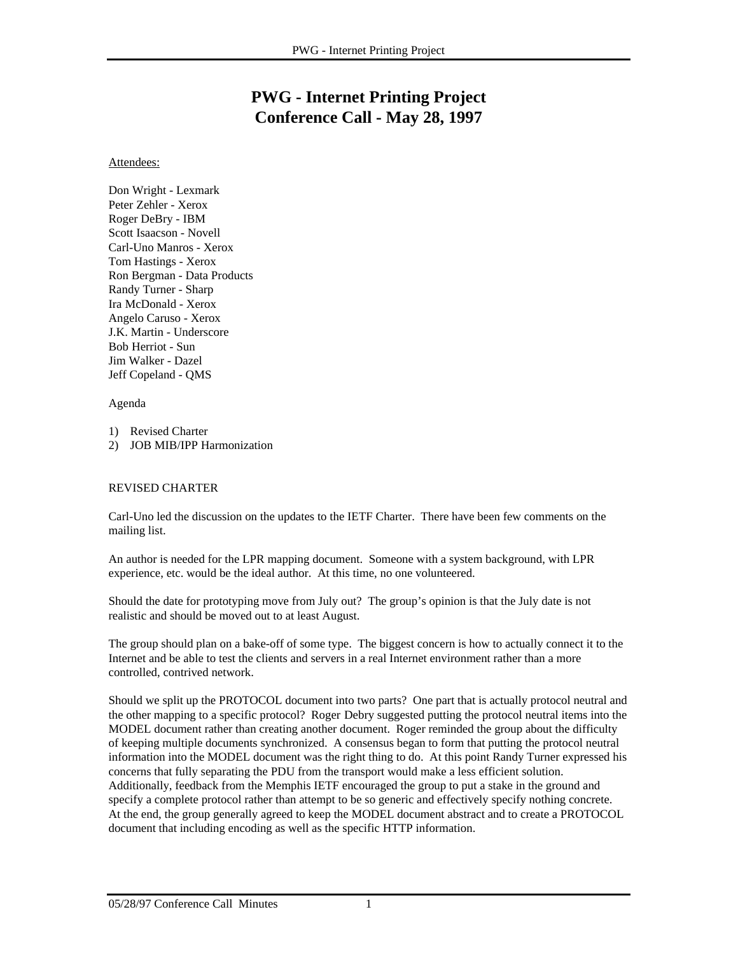## **PWG - Internet Printing Project Conference Call - May 28, 1997**

Attendees:

Don Wright - Lexmark Peter Zehler - Xerox Roger DeBry - IBM Scott Isaacson - Novell Carl-Uno Manros - Xerox Tom Hastings - Xerox Ron Bergman - Data Products Randy Turner - Sharp Ira McDonald - Xerox Angelo Caruso - Xerox J.K. Martin - Underscore Bob Herriot - Sun Jim Walker - Dazel Jeff Copeland - QMS

Agenda

1) Revised Charter

2) JOB MIB/IPP Harmonization

## REVISED CHARTER

Carl-Uno led the discussion on the updates to the IETF Charter. There have been few comments on the mailing list.

An author is needed for the LPR mapping document. Someone with a system background, with LPR experience, etc. would be the ideal author. At this time, no one volunteered.

Should the date for prototyping move from July out? The group's opinion is that the July date is not realistic and should be moved out to at least August.

The group should plan on a bake-off of some type. The biggest concern is how to actually connect it to the Internet and be able to test the clients and servers in a real Internet environment rather than a more controlled, contrived network.

Should we split up the PROTOCOL document into two parts? One part that is actually protocol neutral and the other mapping to a specific protocol? Roger Debry suggested putting the protocol neutral items into the MODEL document rather than creating another document. Roger reminded the group about the difficulty of keeping multiple documents synchronized. A consensus began to form that putting the protocol neutral information into the MODEL document was the right thing to do. At this point Randy Turner expressed his concerns that fully separating the PDU from the transport would make a less efficient solution. Additionally, feedback from the Memphis IETF encouraged the group to put a stake in the ground and specify a complete protocol rather than attempt to be so generic and effectively specify nothing concrete. At the end, the group generally agreed to keep the MODEL document abstract and to create a PROTOCOL document that including encoding as well as the specific HTTP information.